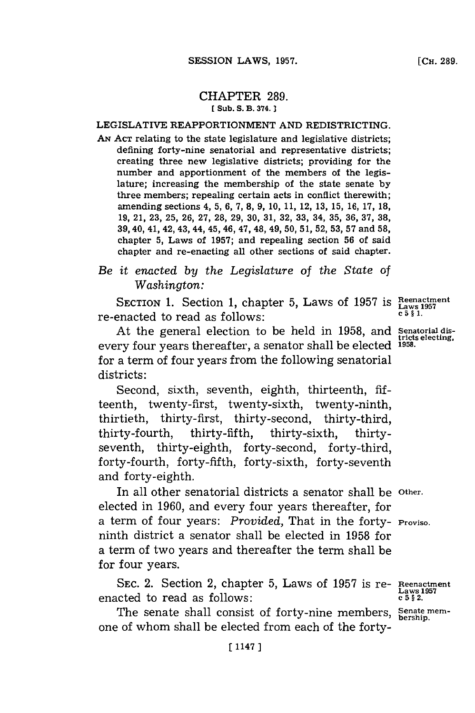# CHAPTER **289. [ Sub. S. B. 374.**

# LEGISLATIVE REAPPORTIONMENT **AND** REDISTRICTING.

**AN ACT** relating to the state legislature and legislative districts; defining forty-nine senatorial and representative districts; creating three new legislative districts; providing for the number and apportionment of the members of the legislature; increasing the membership of the state senate **by** three members; repealing certain acts in conflict therewith; amending sections 4, **5, 6, 7, 8, 9, 10, 11,** 12, **13, 15, 16, 17, 18, 19,** 21, **23, 25, 26, 27, 28, 29, 30,** 31, **32, 33,** 34, **35, 36, 37, 38, 39,** 40, 41, 42, 43, 44, 45, 46, 47, 48, 49, **50, 51, 52, 53, 57** and **58,** chapter **5,** Laws of **1957;** and repealing section **56** of said chapter and re-enacting all other sections of said chapter.

*Be it enacted by the Legislature of the State of Washington:*

SECTION 1. Section 1, chapter 5, Laws of 1957 is Reenactment re-enacted to read as follows:

At the general election to be held in **1958,** and **Senatorial dis**every four years thereafter, a senator shall be elected **1958.** for a term of four years from the following senatorial districts:

Second, sixth, seventh, eighth, thirteenth, **fif**teenth, twenty-first, twenty-sixth, twenty-ninth, thirtieth, thirty-first, thirty-second, thirty-third, thirty-fourth, thirty-fifth, thirty-sixth, thirtyseventh, thirty-eighth, forty-second, forty-third, forty-fourth, forty-fifth, forty-sixth, forty-seventh and forty-eighth.

In all other senatorial districts a senator shall be **Other.** elected in **1960,** and every four years thereafter, for a term of four years: *Provided,* That in the forty- **Proviso.** ninth district a senator shall be elected in **1958** for a term of two years and thereafter the term shall be for four years.

**SEC.** 2. Section 2, chapter **5,** Laws of **1957** is re- **Reenactment** enacted to read as follows:

The senate shall consist of forty-nine members, Senate memone of whom shall be elected from each of the forty-

**tricts electing,**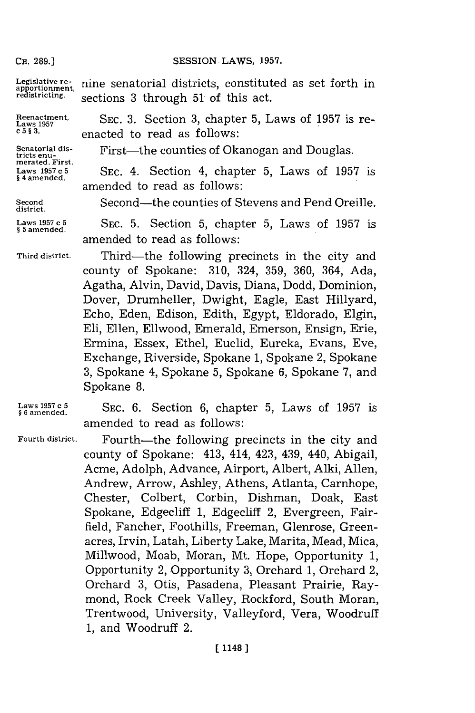## SESSION LAWS, 1957.

**CH. 289.]**

Legislative re-<br>apportionment, nine senatorial districts, constituted as set forth in **redistricting.** sections **3** through **51** of this act.

**merated. First.**

**§ 4 amended.**

**§ 5 amended.**

**district.**

**Reenactment. SEC. 3.** Section **3,** chapter **5,** Laws of **1957** is re- **Laws 1957 c 5 § 3.** enacted to read as follows:

Senatorial dis-<br>tricts enu-<br>**First—the counties of Okanogan and Douglas.** 

**Laws 1957 c 5 SEC.** 4. Section 4, chapter **5,** Laws of **1957** is amended to read as follows:

**Second** Second-the counties of Stevens and Pend Oreille.

**Laws 1957 c 5 SEC. 5.** Section **5,** chapter **5,** Laws of **1957** is amended to read as follows:

**Third district.** Third-the following precincts in the city and county of Spokane: **310,** 324, **359, 360,** 364, Ada, Agatha, Alvin, David, Davis, Diana, Dodd, Dominion, Dover, Drumheller, Dwight, Eagle, East Hillyard, Echo, Eden, Edison, Edith, **Egypt,** Eldorado, Elgin, Eli, Ellen, Ellwood, Emerald, Emerson, Ensign, Erie, Ermina, Essex, Ethel, Euclid, Eureka, Evans, Eve, Exchange, Riverside, Spokane **1,** Spokane 2, Spokane **3,** Spokane 4, Spokane **5,** Spokane **6,** Spokane **7,** and Spokane 8.

Laws 1957 **c** 5<br>§ 6 amended.

**Fourth district.**

SEC. **6.** Section **6,** chapter **5,** Laws of **1957** is amended to read as follows:

Fourth-the following precincts in the city and county of Spokane: 413, 414, 423, 439, 440, Abigail, Acme, Adolph, Advance, Airport, Albert, Alki, Allen, Andrew, Arrow, Ashley, Athens, Atlanta, Carnhope, Chester, Colbert, Corbin, Dishman, Doak, East Spokane, Edgecliff **1,** Edgecliff 2, Evergreen, Fairfield, Fancher, Foothills, Freeman, Glenrose, Greenacres, Irvin, Latah, Liberty Lake, Marita, Mead, Mica, Millwood, Moab, Moran, Mt. Hope, Opportunity **1,** Opportunity 2, Opportunity **3,** Orchard **1,** Orchard 2, Orchard **3,** Otis, Pasadena, Pleasant Prairie, Raymond, Rock Creek Valley, Rockford, South Moran, Trentwood, University, Valleyford, Vera, Woodruff **1,** and Woodruff 2.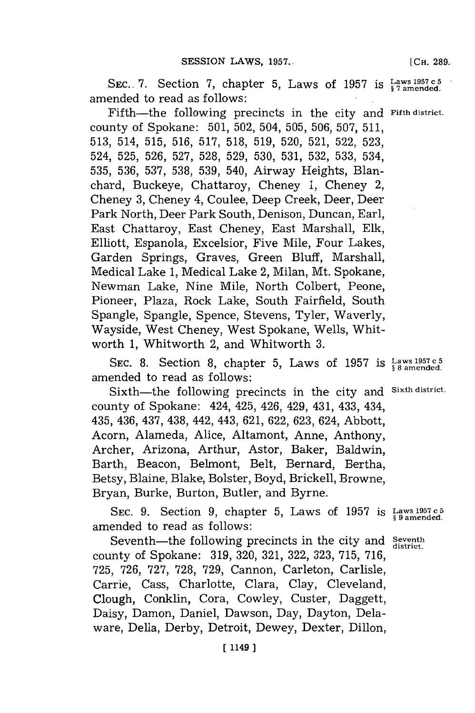SEC. 7. Section 7, chapter 5, Laws of 1957 is  $\frac{Laws}{s}$  <sup>1957 c 5</sup> amended to read as follows:

Fifth-the following precincts in the city and **Fifth district.** county of Spokane: **501, 502,** 504, **505, 506, 507, 511, 513,** 514, **515, 516, 517, 518, 519, 520, 521, 522, 523,** 524, **525, 526, 527, 528, 529, 530, 531, 532, 533,** 534, **535, 536, 537, 538, 539,** 540, Airway Heights, Blanchard, Buckeye, Chattaroy, Cheney **1,** Cheney 2, Cheney **3,** Cheney 4, Coulee, Deep Creek, Deer, Deer Park North, Deer Park South, Denison, Duncan, Earl, East Chattaroy, East Cheney, East Marshall, **Elk,** Elliott, Espanola, Excelsior, Five Mile, Four Lakes, Garden Springs, Graves, Green Bluff, Marshall, Medical Lake **1,** Medical Lake 2, Milan, Mt. Spokane, Newman Lake, Nine Mile, North Colbert, Peone, Pioneer, Plaza, Rock Lake, South Fairfield, South Spangle, Spangle, Spence, Stevens, Tyler, Waverly, Wayside, West Cheney, West Spokane, Wells, Whitworth **1,** Whitworth 2, and Whitworth **3.**

**SEC. 8.** Section **8,** chapter **5,** Laws of **1957** is **Laws 1957** c **<sup>5</sup> 8 amended.** amended to read as follows:

Sixth-the following precincts in the city and **Sixth district.** county of Spokane: 424, 425, 426, 429, 431, 433, 434, 435, 436, 437, 438, 442, 443, **621, 622, 623,** 624, Abbott, Acorn, Alameda, Alice, Altamont, Anne, Anthony, Archer, Arizona, Arthur, Astor, Baker, Baldwin, Barth, Beacon, Belmont, Belt, Bernard, Bertha, Betsy, Blaine, Blake, Bolster, Boyd, Brickell, Browne, Bryan, Burke, Burton, Butler, and Byrne.

**SEC. 9.** Section **9,** chapter **5,** Laws of **1957 is Laws 1957 c <sup>5</sup> § 9 amended.** amended to read as follows:

Seventh—the following precincts in the city and **Seventh** county of Spokane: **319, 320, 321, 322, 323, 715, 716, 725, 726, 727, 728, 729,** Cannon, Carleton, Carlisle, Carrie, Cass, Charlotte, Clara, Clay, Cleveland, Clough, Conklin, Cora, Cowley, Custer, Daggett, Daisy, Damon, Daniel, Dawson, Day, Dayton, Delaware, Della, Derby, Detroit, Dewey, Dexter, Dillon,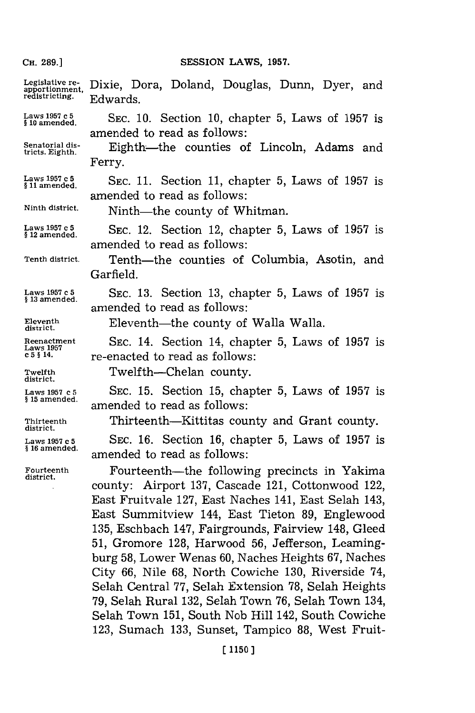### **CH. 89.]SESSION** LAWS, **1957.**

Legislative re- Dixie, Dora, Doland, Douglas, Dunn, Dyer, and apportionment, DIAIC, D<br>redistricting. Edwards. **La195** med5d **SEC. 10.** Section **10,** chapter **5,** Laws of **1957** is amended to read as follows: Senatorial dis-<br>tricts. Eighth. **Eighth**—the counties of Lincoln, Ferry. **Laws 1957 c 5 SEC. 11.** Section 11, chapter 5, Laws of 1957 is amended to read as follows: Ninth district. **Ninth-the county of Whitman. Laws 1957 c 5**<br>\$12 amended. SEC. 12. Section 12, chapter 5, Laws of 1957 is amended to read as follows: Tenth district. Tenth—the counties of Columbia, Asotin, and Garfield. **Laws 1957 c 5 SEC. 13.** Section **13,** chapter **5,** Laws of **1957** is **§ 13 amended.** amended to read as follows: Eleventh **district. Eleventh**—the county of Walla Walla. **Reenactment SEC.** 14. Section 14, chapter **5,** Laws of **1957** is **Laws 1957** re-enacted to read as follows: **Twelfth** Twelfth-Chelan county. **district. Laws 1957 c 5 SEC. 15.** Section **15,** chapter **5,** Laws of **1957** is **§ 15 amended,** amended to read as follows: **Thirteenth** Thirteenth-Kittitas county and Grant county. **district. Lawsl1957 c5** SEc. **16.** Section **16,** chapter **5,** Laws of **1957** is **§ 16 amended,** amended to read as follows: **Fourteenth** Fourteenth-the following precincts in Yakima **district.** county: Airport **137,** Cascade 121, Cottonwood 122, East Fruitvale **127,** East Naches 141, East Selah 143, East Summitview 144, East Tieton **89,** Englewood **135,** Eschbach 147, Fairgrounds, Fairview 148, Gleed

**51,** Gromore **128,** Harwood **56,** Jefferson, Leamingburg **58,** Lower Wenas **60,** Naches Heights **67,** Naches City **66,** Nile **68,** North Cowiche **130,** Riverside 74, Selah Central **77,** Selah Extension **78,** Selah Heights **79,** Selah Rural **132,** Selah Town **76,** Selah Town 134, Selah Town **151,** South Nob Hill 142, South Cowiche **123,** Sumach **133,** Sunset, Tampico **88,** West Fruit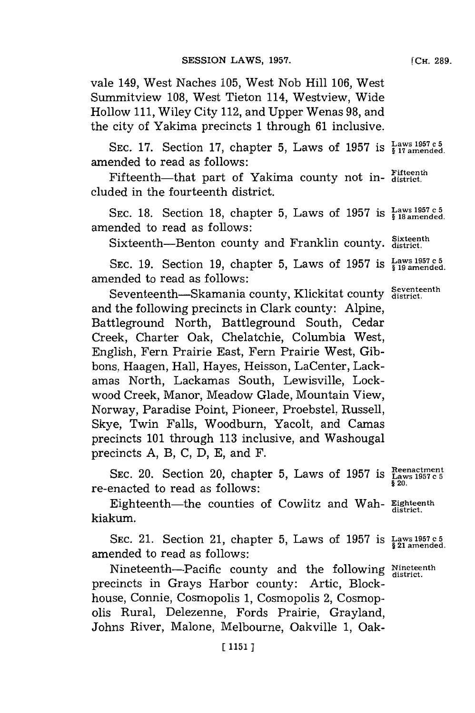vale 149, West Naches **105,** West Nob Hill **106,** West Summitview **108,** West Tieton 114, Westview, Wide Hollow **111,** Wiley City 112, and Upper Wenas **98,** and the city of Yakima precincts **1** through **61** inclusive.

SEC. 17. Section 17, chapter 5, Laws of 1957 is  $\frac{\text{Laws 1957 c5}}{\text{S17 amended}}$ amended to read as follows:

Fifteenth---that part of Yakima county not in- $F_{\text{district.}}^{\text{Fifteenth}}$ cluded in the fourteenth district.

SEC. 18. Section 18, chapter 5, Laws of 1957 is  $\frac{Laws}{s}$  18 amended. amended to read as follows:

Sixteenth--Benton county and Franklin county. **Sixteenth** 

**SEC. 19. Section 19, chapter 5, Laws of 1957 is**  $\frac{Laws}{s}$  **1957 c 5** amended to read as follows:

Seventeenth-Skamania county, Klickitat county **Seventeenth district.** and the following precincts in Clark county: Alpine, Battleground North, Battleground South, Cedar Creek, Charter Oak, Chelatchie, Columbia West, English, Fern Prairie East, Fern Prairie West, Gibbons, Haagen, Hall, Hayes, Heisson, LaCenter, Lackamas North, Lackamas South, Lewisville, Lockwood Creek, Manor, Meadow Glade, Mountain View, Norway, Paradise Point, Pioneer, Proebstel, Russell, Skye, Twin Falls, Woodburn, Yacolt, and Camas precincts **101** through **113** inclusive, and Washougal precincts **A,** B, **C, D, E,** and F.

SEC. 20. Section 20, chapter 5, Laws of 1957 is  $\frac{\text{Reenactment}}{\text{g 20}}$ re-enacted to read as follows:

Eighteenth—the counties of Cowlitz and Wah- **Eighteenth** kiakum.

SEC. 21. Section 21, chapter 5, Laws of 1957 is  $\frac{Laws1957c5}{\$21$  amended. amended to read as follows:

Nineteenth--Pacific county and the following Nineteenth precincts in Grays Harbor county: Artic, Blockhouse, Connie, Cosmopolis **1,** Cosmopolis 2, Cosmopolis Rural, Delezenne, Fords Prairie, Grayland, Johns River, Malone, Melbourne, Oakville **1,** Oak-

**[CH. 289.**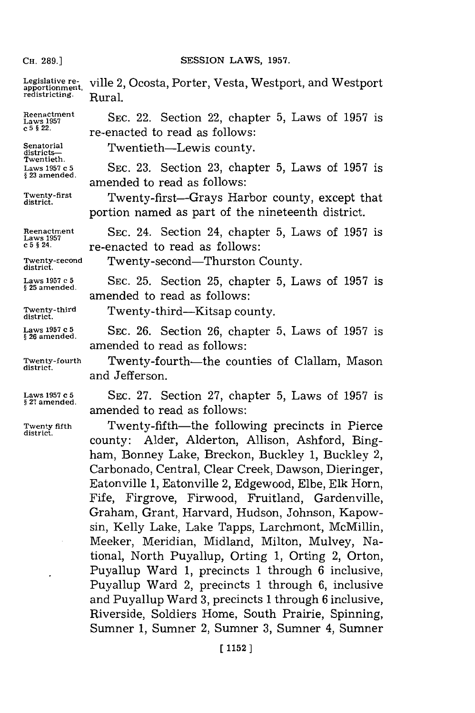### SESSION LAWS, 1957.

Legislative re-<br>
apportionment, ville 2, Ocosta, Porter, Vesta, Westport, and Westport<br>
redistricting. <br>
Rural.

Reenactment **SEC. 22.** Section 22, chapter 5, Laws of 1957 is  $c^5$ § 22. **re-enacted to read as follows:** 

**Senatorial** Twnit-e s **districts-** TetthLwscounty. **Twentieth. Lawsl1957 c5 SEC. 23.** Section **23,** chapter **5,** Laws of **1957** is **§ 23 amended.** amended to read as follows:

Twenty-first Twenty-first-Grays Harbor county, except that district. portion named as part of the nineteenth district.

Reenactment SEC. 24. Section 24, chapter 5, Laws of 1957 is <br>  $c^5$ <sup>§ 24.</sup> **re-enacted to read as follows:** 

**Twenty-second** Twenty-second-Thurston County. **district.**

**Laws 1957 c 5 SEC. 25.** Section **25,** chapter **5,** Laws of **1957** is **§ 25 amended.** amended to read as follows:

**Twenty-third** Twenty-third-Kitsap county. **district.**

**Laws 1957 c 5 SEC. 26.** Section **26,** chapter **5,** Laws of **1957** is **§ 26 amended.** amended to read as follows:

**Twenty-fourth** Twenty-fourth-the counties of Clallam, Mason and Jefferson.

**Laws 1957 c5 SEC. 27.** Section **27,** chapter **5,** Laws of **1957** is **§ 27 amended.** amended to read as follows:

**Twenty fifth Twenty-fifth**—the following precincts in Pierce county: Alder, Alderton, Allison, Ashford, Bingham, Bonney Lake, Breckon, Buckley **1,** Buckley 2, Carbonado, Central, Clear Creek, Dawson, Dieringer, Eatonville **1,** Eatonville 2, Edgewood, Elbe, **Elk** Horn, Fife, Firgrove, Firwood, Fruitland, Gardenville, Graham, Grant, Harvard, Hudson, Johnson, Kapowsin, Kelly Lake, Lake Tapps, Larchmont, McMillin, Meeker, Meridian, Midland, Milton, Mulvey, National, North Puyallup, Orting **1,** Orting 2, Orton, Puyallup Ward **1,** precincts **1** through **6** inclusive, Puyallup Ward 2, precincts **1** through **6,** inclusive and Puyallup Ward **3,** precincts **1** through **6** inclusive, Riverside, Soldiers Home, South Prairie, Spinning, Sumner **1,** Sumner 2, Sumner **3,** Sumner 4, Sumner

**district.**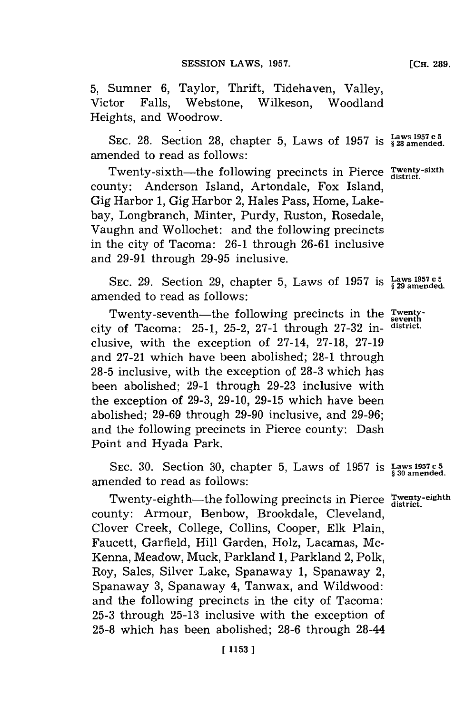**5,** Sumner **6,** Taylor, Thrift, Tidehaven, Valley, Victor Falls, Webstone, Wilkeson, Woodland Heights, and Woodrow.

**SEC. 28.** Section **28,** chapter **5,** Laws of **1957 15 28 amended.** amended to read as follows:

Twenty-sixth-the following precincts in Pierce Twenty-sixth county: Anderson Island, Artondale, Fox Island, Gig Harbor **1,** Gig Harbor 2, Hales Pass, Home, Lakebay, Longbranch, Minter, Purdy, Ruston, Rosedale, Vaughn and Wollochet: and the following precincts in the city of Tacoma: **26-1** through **26-61** inclusive and **29-91** through **29-95** inclusive.

SEC. 29. Section 29, chapter 5, Laws of 1957 is  $\frac{\text{Laws 1957 c5}}{\text{kg 29 amended}}$ amended to read as follows:

Twenty-seventh-the following precincts in the **Twenty**city of Tacoma: **25-1, 25-2, 27-1** through **27-32** in- **district.** clusive, with the exception of 27-14, **27-18, 27-19** and **27-21** which have been abolished; **28-1** through **28-5** inclusive, with the exception of **28-3** which has been abolished; **29-1** through **29-23** inclusive with the exception of **29-3, 29-10, 29-15** which have been abolished; **29-69** through **29-90** inclusive, and **29-96;** and the following precincts in Pierce county: Dash Point and Hyada Park.

SEC. 30. Section 30, chapter 5, Laws of 1957 is  $\frac{Laws}{\frac{1}{3}30}$  amended. amended to read as follows:

Twenty-eighth-the following precincts in Pierce Twenty-eighth county: Armour, Benbow, Brookdale, Cleveland, Clover Creek, College, Collins, Cooper, **Elk** Plain, Faucett, Garfield, Hill Garden, Holz, Lacamas, Mc-Kenna, Meadow, Muck, Parkland **1,** Parkland 2, Polk, Roy, Sales, Silver Lake, Spanaway **1,** Spanaway 2, Spanaway **3,** Spanaway 4, Tanwax, and Wildwood: and the following precincts in the city of Tacoma: **25-3** through **25-13** inclusive with the exception of **25-8** which has been abolished; **28-6** through 28-44

[Cri. **289.**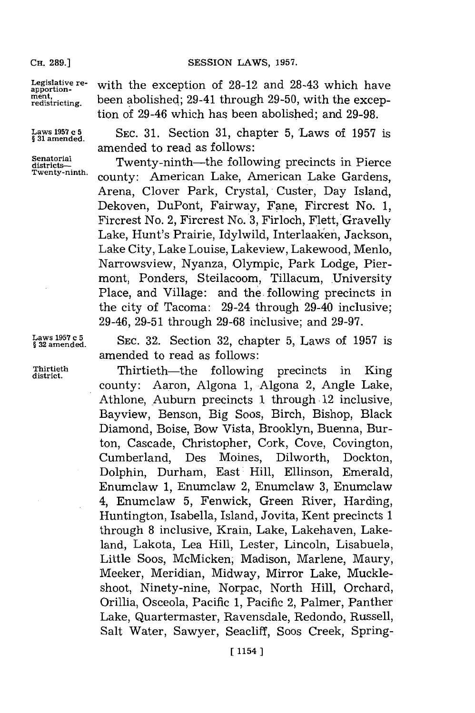SESSION LAWS, 1957.

**Legislative re- apportionment, redistricting.**

**Laws 1957 C 5 § 31 amended.**

**Senatorial districts-Twenty-ninth.** with the exception of **28-12** and 28-43 which have been abolished; 29-41 through **29-50,** with the exception of 29-46 which has been abolished; and **29-98.**

SEC. **31.** Section **31,** chapter **5,** Laws of **1957** is amended to read as follows:

Twenty-ninth-the following precincts in Pierce county: American Lake, American Lake Gardens, Arena, Clover Park, Crystal, Custer, Day Island, Dekoven, DuPont, Fairway, Pane, Fircrest No. **1,** Fircrest No. 2, Fircrest No. **3,** Firloch, Flett, Gravelly Lake, Hunt's Prairie, Idyiwild, Interlaaken, Jackson, Lake City, Lake Louise, Lakeview, Lakewood, Menlo, Narrowsview, Nyanza, Olympic, Park Lodge, Piermont, Ponders, Steilacoom, Tillacum, University Place, and Village: and the following precincts in the city of Tacoma: 29-24 through 29-40 inclusive; 29-46, **29-51** through **29-68** inclusive; and **29-97.**

Laws 1957 c 5<br>§ 32 amended.

**§ 32 amended.** SE.3.Section **32,** chapter **5,** Laws of **1957** is amended to read as follows:

**Thirtieth** Thirtieth-the following precincts in King **district.** county: Aaron, Algona **1,** Algona 2, Angle Lake, Athlone, Auburn precincts 1 through 12 inclusive, Bayview, Benson, Big Soos, Birch, Bishop, Black Diamond, Boise, Bow Vista, Brooklyn, Buenna, Burton, Cascade, Christopher, Cork, Cove, Covington, Cumberland, Des Moines, Dilworth, Dockton, Dolphin, Durham, East Hill, Ellinson, Emerald, Enumclaw **1,** Enumclaw 2, Enumclaw **3,** Enumclaw 4, Enumclaw **5,** Fenwick, Green River, Harding, Huntington, Isabella, Island, Jovita, Kent precincts **1** through **8** inclusive, Krain, Lake, Lakehaven, Lakeland, Lakota, Lea Hill, Lester, Lincoln, Lisabuela, Little Soos, McMicken, Madison, Marlene, Maury, Meeker, Meridian, Midway, Mirror Lake, Muckleshoot, Ninety-nine, Norpac, North Hill, Orchard, Orillia, Osceola, Pacific **1,** Pacific 2, Palmer, Panther Lake, Quartermaster, Ravensdale, Redondo, Russell, Salt Water, Sawyer, Seacliff, Soos Creek, Spring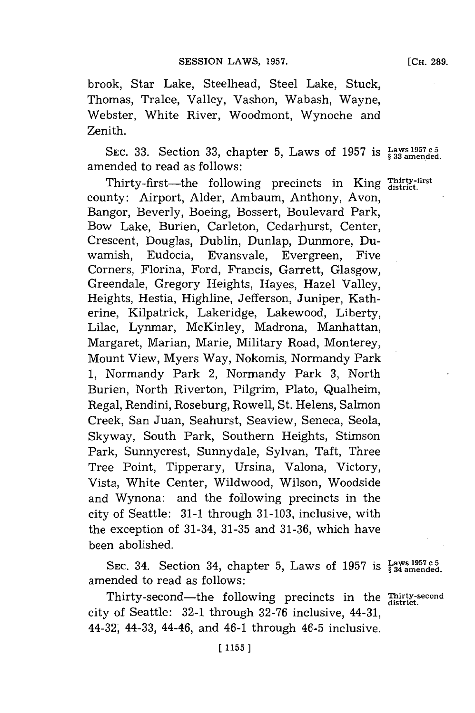brook, Star Lake, Steelhead, Steel Lake, Stuck, Thomas, Tralee, Valley, Vashon, Wabash, Wayne, Webster, White River, Woodmont, Wynoche and Zenith.

**SEC. 33.** Section **33,** chapter **5,** Laws of **1957** is **Laws 1957** c **<sup>5</sup>** amended to read as follows:

Thirty-first--the following precincts in King *Thirty-first* county: Airport, Alder, Ambaum, Anthony, Avon, Bangor, Beverly, Boeing, Bossert, Boulevard Park, Bow Lake, Burien, Carleton, Cedarhurst, Center, Crescent, Douglas, Dublin, Dunlap, Dunmore, Duwamish, Eudocia, Evansvale, Evergreen, Five Corners, Florina, Ford, Francis, Garrett, Glasgow, Greendale, Gregory Heights, Hayes, Hazel Valley, Heights, Hestia, Highline, Jefferson, Juniper, Katherine, Kilpatrick, Lakeridge, Lakewood, Liberty, Lilac, Lynmar, McKinley, Madrona, Manhattan, Margaret, Marian, Marie, Military Road, Monterey, Mount View, Myers Way, Nokomis, Normandy Park **1,** Normandy Park 2, Normandy Park **3,** North Burien, North Riverton, Pilgrim, Plato, Qualheim, Regal, Rendini, Roseburg, Rowell, St. Helens, Salmon Creek, San Juan, Seahurst, Seaview, Seneca, Seola, Skyway, South Park, Southern Heights, Stimson Park, Sunnycrest, Sunnydale, Sylvan, Taft, Three Tree Point, Tipperary, Ursina, Valona, Victory, Vista, White Center, Wildwood, Wilson, Woodside and Wynona: and the following precincts in the city of Seattle: **31-1** through **31-103,** inclusive, with the exception of 31-34, **31-35** and **31-36,** which have been abolished.

Example:<br>Section 34, chapter 5, Laws of 1957 is  $\frac{Laws}{\$ 34}$  amended amended to read as follows:

Thirty-second-the following precincts in the *Thirty-second* city of Seattle: **32-1** through **32-76** inclusive, 44-31, 44-32, 44-33, 44-46, and 46-1 through 46-5 inclusive.

**[CH. 289.**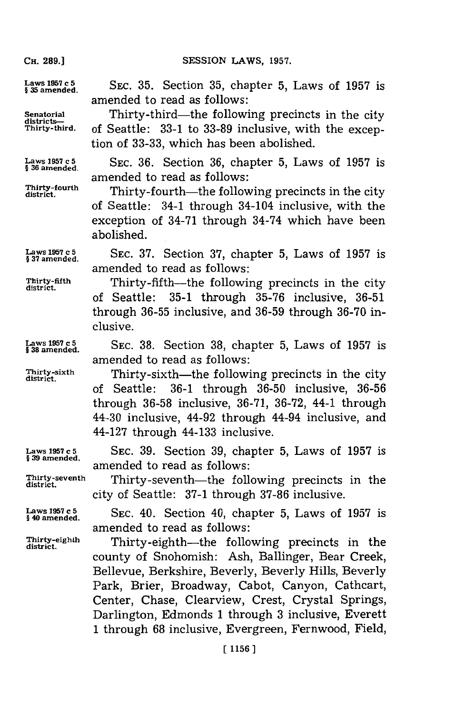**CH. 289.)**

CH. **89.]SESSION** LAWS, **1957.**

3amsended. SEC. **35.** Section **35,** chapter **5,** Laws of **1957** is

**Senatorial Chirty-third—the following precincts in the city districts—<br>Thirty-third. of Seattle: 33-1 to 33-89 inclusive with the excep-Thirty-third.** of Seattle: **33-1** to **33-89** inclusive, with the exception of **33-33,** which has been abolished.

amended to read as follows:

amended to read as follows:

**Laws 1957 c 5**<br>§ 36 amended. SEC. 36. Section 36, chapter 5, Laws of 1957 is amended to read as follows:

Thirty-fourth—the following precincts in the city<br>district. of Seattle: 34-1 through 34-104 inclusive, with the exception of 34-71 through 34-74 which have been abolished.

**§ 37 amended.**

**Laws 1957 c 5 SEC. 37.** Section **37,** chapter **5,** Laws of **1957** is amended to read as follows:

**Thirty-fifth** Thirty-fifth-the following precincts in the city **district.** of Seattle: **35-1** through **35-76** inclusive, **36-51** through **36-55** inclusive, and **36-59** through **36-70** inclusive.

3amsended. SEC. **38.** Section **38,** chapter **5,** Laws of **1957** is

Thirty-sixth **Thirty-sixth**—the following precincts in the city of Seattle: **36-1** through **36-50** inclusive, **36-56** through **36-58** inclusive, **36-71, 36-72,** 44-1 through 44-30 inclusive, 44-92 through 44-94 inclusive, and 44-127 through 44-133 inclusive.

**Laws 1957 c 5** SEC. **39.** Section **39,** chapter **5,** Laws of **1957** is amended to read as follows:

**Thirty-seventh** Thirty-seventh-the following precincts in the **district.**

§Lamsended. SEC. 40. Section 40, chapter **5,** Laws of **1957** is amended to read as follows:

city of Seattle: **37-1** through **37-86** inclusive.

Thirty-eighth Thirty-eighth-the following precincts in the county of Snohomish: Ash, Ballinger, Bear Creek, Bellevue, Berkshire, Beverly, Beverly Hills, Beverly Park, Brier, Broadway, Cabot, Canyon, Cathcart, Center, Chase, Clearview, Crest, Crystal Springs, Darlington, Edmonds **1** through **3** inclusive, Everett **1** through **68** inclusive, Evergreen, Fernwood, Field,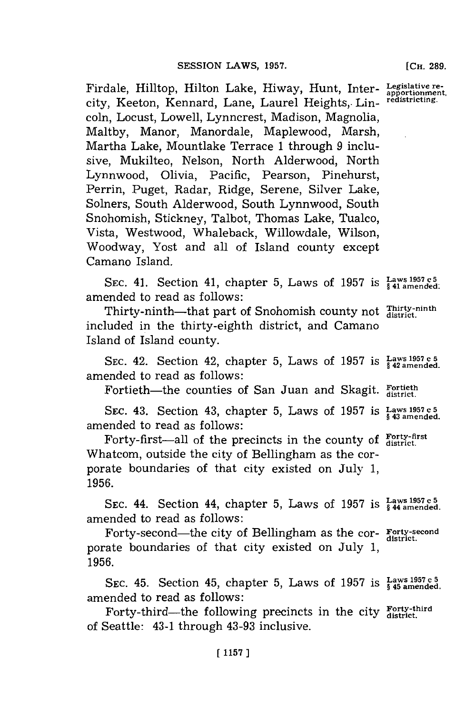Firdale, Hilltop, Hilton Lake, Hiway, Hunt, Inter-**Legislative re- apportionment,** city, Keeton, Kennard, Lane, Laurel Heights, Lincoln, Locust, Lowell, Lynncrest, Madison, Magnolia, Maltby, Manor, Manordale, Maplewood, Marsh, Martha Lake, Mountlake Terrace **1** through **9** inclusive, Mukilteo, Nelson, North Alderwood, North Lynnwood, Olivia, Pacific, Pearson, Pinehurst, Perrin, Puget, Radar, Ridge, Serene, Silver Lake, Solners, South Alderwood, South Lynnwood, South Snohomish, Stickney, Talbot, Thomas Lake, Tualco, Vista, Westwood, Whaleback, Willowdale, Wilson, Woodway, Yost and all of Island county except Camano Island. **redistricting.**

SEC. 41. Section 41, chapter 5, Laws of 1957 is  $\frac{Laws}{41}$  amended. amended to read as follows:

Thirty-ninth-that part of Snohomish county not Thirty-ninth included in the thirty-eighth district, and Camano Island of Island county.

**SEC.** 42. Section 42, chapter **5,** Laws of **1957** is **Laws 1957 c 5 § 42 amended.** amended to read as follows:

Fortieth-the counties of San Juan and Skagit. Fortieth

SEC. 43. Section 43, chapter **5,** Laws of **1957 is Laws 1957 c 5 §43 amended.** amended to read as follows:

Forty-first-all of the precincts in the county of  $_{\text{district.}}^{\text{Forty-first}}$ Whatcom, outside the city of Bellingham as the corporate boundaries of that city existed on July **1, 1956.**

**isLaws 1957 c 5 SEC.** 44. Section 44, chapter **5.,** Laws of **1957 §** 44 **amended.** amended to read as follows:

Forty-second—the city of Bellingham as the cor- Forty-second porate boundaries of that city existed on July **1, 1956.**

SEC. 45. Section 45, chapter 5, Laws of 1957 is  $\frac{\text{Laws 1957 c 5}}{\text{kg 45 amended}}$ amended to read as follows:

Forty-third-the following precincts in the city Forty-third of Seattle: 43-1 through 43-93 inclusive.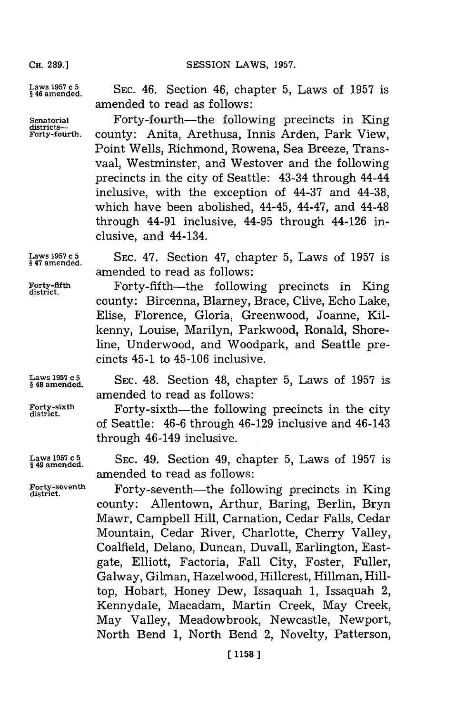SESSION LAWS, 1957.

**CH. 289.]**

Laws 1957 c<sub>5</sub><br>\$46 amended. SEC. 46. Section 46, chapter 5, Laws of 1957 is amended to read as follows:

Senatorial **Forty-fourth—the following precincts in King Forty-fourth.** county: Anita, Arethusa, Innis Arden, Park View, Point Wells, Richmond, Rowena, Sea Breeze, Transvaal, Westminster, and Westover and the following precincts in the city of Seattle: 43-34 through 44-44 inclusive, with the exception of 44-37 and 44-38, which have been abolished, 44-45, 44-47, and 44-48 through 44-91 inclusive, 44-95 through 44-126 inclusive, and 44-134.

Laws 1957 c 5 SEC. 47. Section 47, chapter 5, Laws of 1957 is amended to read as follows:

Forty-fifth-the following precincts in King district. county: Bircenna, Blarney, Brace, Clive, Echo Lake, Elise, Florence, Gloria, Greenwood, Joanne, Kilkenny, Louise, Marilyn, Parkwood, Ronald, Shoreline, Underwood, and Woodpark, and Seattle precincts 45-1 to 45-106 inclusive.

**Laws 1957 c 5 SEC.** 48. Section 48, chapter **5,** Laws of **1957** is **§ 48 amended.**

amended to read as follows: Forty-sixth Forty-sixth-the following precincts in the city of Seattle: 46-6 through 46-129 inclusive and 46-143

**§49 amended.**

**Laws 1957 c5 SEC.** 49. Section 49, chapter **5,** Laws of **1957** is amended to read as follows:

through 46-149 inclusive.

Forty-seventh **Forty-seventh**—the following precincts in King county: Allentown, Arthur, Baring, Berlin, Bryn Mawr, Campbell Hill, Carnation, Cedar Falls, Cedar Mountain, Cedar River, Charlotte, Cherry Valley, Coalfield, Delano, Duncan, Duvall, Earlington, Eastgate, Elliott, Factoria, Fall City, Foster, Fuller, Galway, Gilman, Hazelwood, Hillcrest, Hillman, Hilltop, Hobart, Honey Dew, Issaquah **1,** Issaquah 2, Kennydale, Macadam, Martin Creek, May Creek, May Valley, Meadowbrook, Newcastle, Newport, North Bend **1,** North Bend 2, Novelty, Patterson,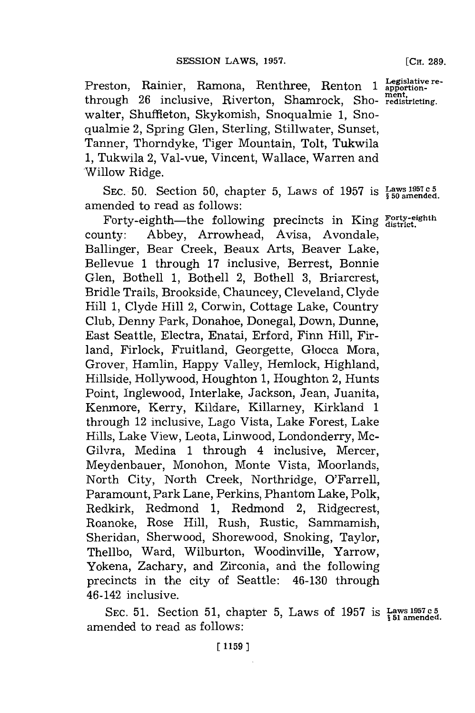Preston, Rainier, Ramona, Renthree, Renton 1 **Legislative re**through **26** inclusive, Riverton, Shamrock, Sho- **rediricting.** walter, Shuffieton, Skykomish, Snoqualmie **1,** Snoqualmie 2, Spring Glen, Sterling, Stillwater, Sunset, Tanner, Thorndyke, Tiger Mountain, Tolt, Tukwila **1,** Tukwila 2, Val-vue, Vincent, Wallace, Warren and Willow Ridge.

**SEC. 50.** Section **50,** chapter **5,** Laws of **1957** is **Laws 1957 c5 § 50 amended.** amended to read as follows:

Forty-eighth-the following precincts in King Forty-eighth county: Abbey, Arrowhead, Avisa, Avondale, Ballinger, Bear Creek, Beaux Arts, Beaver Lake, Bellevue **1** through **17** inclusive, Berrest, Bonnie Glen, Bothell **1,** Bothell 2, Bothell **3,** Briarcrest, Bridle Trails, Brookside, Chauncey, Cleveland, Clyde Hill **1,** Clyde Hill 2, Corwin, Cottage Lake, Country Club, Denny Park, Donahoe, Donegal, Down, Dunne, East Seattle, Electra, Enatai, Erford, Finn Hill, Firland, Firlock, Fruitland, Georgette, Glocca Mora, Grover, Hamlin, Happy Valley, Hemlock, Highland, Hillside, Hollywood, Houghton **1,** Houghton 2, Hunts Point, Inglewood, Interlake, Jackson, Jean, Juanita, Kenmore, Kerry, Kildare, Killarney, Kirkland **1** through 12 inclusive, Lago Vista, Lake Forest, Lake Hills, Lake View, Leota, Linwood, Londonderry, Mc-Gilvra, Medina **1** through 4 inclusive, Mercer, Meydenbauer, Monohon, Monte Vista, Moorlands, North City, North Creek, Northridge, O'Farrell, Paramount, Park Lane, Perkins, Phantom Lake, Polk, Redkirk, Redmond **1,** Redmond 2, Ridgecrest, Roanoke, Rose Hill, Rush, Rustic, Sammamish, Sheridan, Sherwood, Shorewood, Snoking, Taylor, Thellbo, Ward, Wilburton, Woodinville, Yarrow, Yokena, Zachary, and Zirconia, and the following precincts in the city of Seattle: 46-130 through 46-142 inclusive.

SEC. 51. Section 51, chapter 5, Laws of 1957 is Laws 1957c5 amended to read as follows:

E **1159 ]**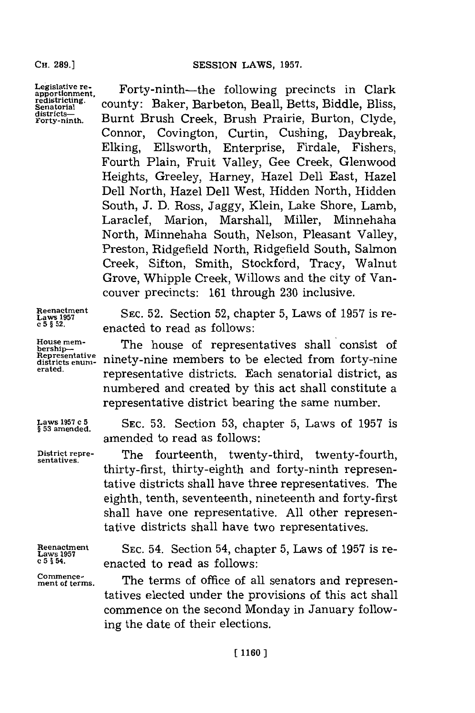Legislative re-<br>apportionment, redistricting.<br>Senatorial districts-Forty-ninth **.**

Forty-ninth-the following precincts in Clark county: Baker, Barbeton, Beall, Betts, Biddle, Bliss, Burnt Brush Creek, Brush Prairie, Burton, Clyde, Connor, Covington, Curtin, Cushing, Daybreak, Elking, Ellsworth, Enterprise, Firdale, Fishers, Fourth Plain, Fruit Valley, Gee Creek, Glenwood Heights, Greeley, Harney, Hazel Dell East, Hazel Dell North, Hazel Dell West, Hidden North, Hidden South, **J. D.** Ross, Jaggy, Klein, Lake Shore, Lamb, Laraclef, Marion, Marshall, Miller, Minnehaha North, Minnehaha South, Nelson, Pleasant Valley, Preston, Ridgefield North, Ridgefield South, Salmon Creek, Sifton, Smith, Stockford, Tracy, Walnut Grove, Whipple Creek, Willows and the city of Vancouver precincts: **161** through **230** inclusive.

**Reenactment Laws 1957 c 5 § 52.**

**House mem-**<br>bership--**Representative districts enum- erated.**

**Laws 1957 c 5 § 53 amended.**

**District repre- sentatives.**

**Reenactment Laws 1957 c 5 § 54.**

**Commencement of terms.**

**SEC. 52.** Section **52,** chapter **5,** Laws of **1957** is reenacted to read as follows:

The house of representatives shall consist of ninety-nine members to be elected from forty-nine representative districts. Each senatorial district, as numbered and created **by** this act shall constitute a representative district bearing the same number.

**SEC. 53.** Section **53,** chapter **5,** Laws of **1957** is amended to read as follows:

The fourteenth, twenty-third, twenty-fourth, thirty-first, thirty-eighth and forty-ninth representative districts shall have three representatives. The eighth, tenth, seventeenth, nineteenth and forty-first shall have one representative. **All** other representative districts shall have two representatives.

SEC. 54. Section 54, chapter **5,** Laws of **1957** is reenacted to read as follows:

The terms of office of all senators and representatives elected under the provisions of this act shall commence on the second Monday in January following the date of their elections.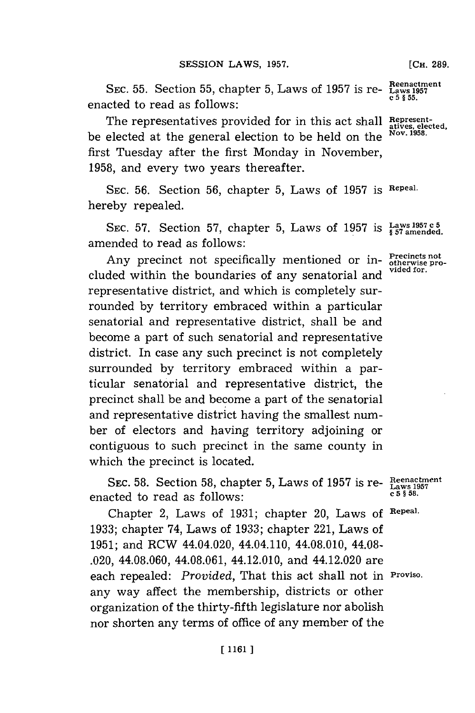**Reenactment SEC. 55.** Section **55,** chapter **5,** Laws of **1957** is re- **Laws <sup>1957</sup>**  $e$  and  $e$  **c**  $f$  **c**  $f$  **c**  $f$  **c**  $f$  **c**  $f$  **c**  $f$  **c**  $f$  **c**  $f$  **c**  $f$  **c**  $f$  **c**  $f$  **c**  $f$  **c**  $f$  **c**  $f$  **c**  $f$  **c**  $f$  **c**  $f$  **c**  $f$  **c**  $f$  **c**  $f$  **c**  $f$  **c**  $f$  **c**  $f$  **c**  $f$  **c**  $f$  **c**  $f$  **c** 

The representatives provided for in this act shall Represented for in this act shall be elected at the general election to be held on the **Nov. 1951.** first Tuesday after the first Monday in November, **1958,** and every two years thereafter.

**SEC. 56.** Section **56,** chapter **5,** Laws of **1957 is Repeal.** hereby repealed.

SEC. 57. Section 57, chapter 5, Laws of 1957 is Laws<sup>1957 c 5</sup> amended to read as follows:

Any precinct not specifically mentioned or in-**Precincts not**<br>ded within the heural prior of our constantial and vided for. cluded within the boundaries of any senatorial and representative district, and which is completely surrounded **by** territory embraced within a particular senatorial and representative district, shall be and become a part of such senatorial and representative district. In case any such precinct is not completely surrounded **by** territory embraced within a particular senatorial and representative district, the precinct shall be and become a part of the senatorial and representative district having the smallest number of electors and having territory adjoining or contiguous to such precinct in the same county in which the precinct is located.

**SEC. 58.** Section 58, chapter 5, Laws of 1957 is re- $\frac{\text{Reenactme}}{\text{Laws 1957}}$ enacted to read as follows:

Chapter 2, Laws of **1931;** chapter 20, Laws **of Repeal. 1933;** chapter 74, Laws of **1933;** chapter 221, Laws of **1951;** and RCW 44.04.020, 44.04.110, 44.08.010, 44.08- .020, 44.08.060, 44.08.061, 44.12.010, and 44.12.020 are each repealed: *Provided,* That this act shall not in **Proviso.** any way affect the membership, districts or other organization of the thirty-fifth legislature nor abolish nor shorten any terms of office of any member of the

**[CH. 289.**